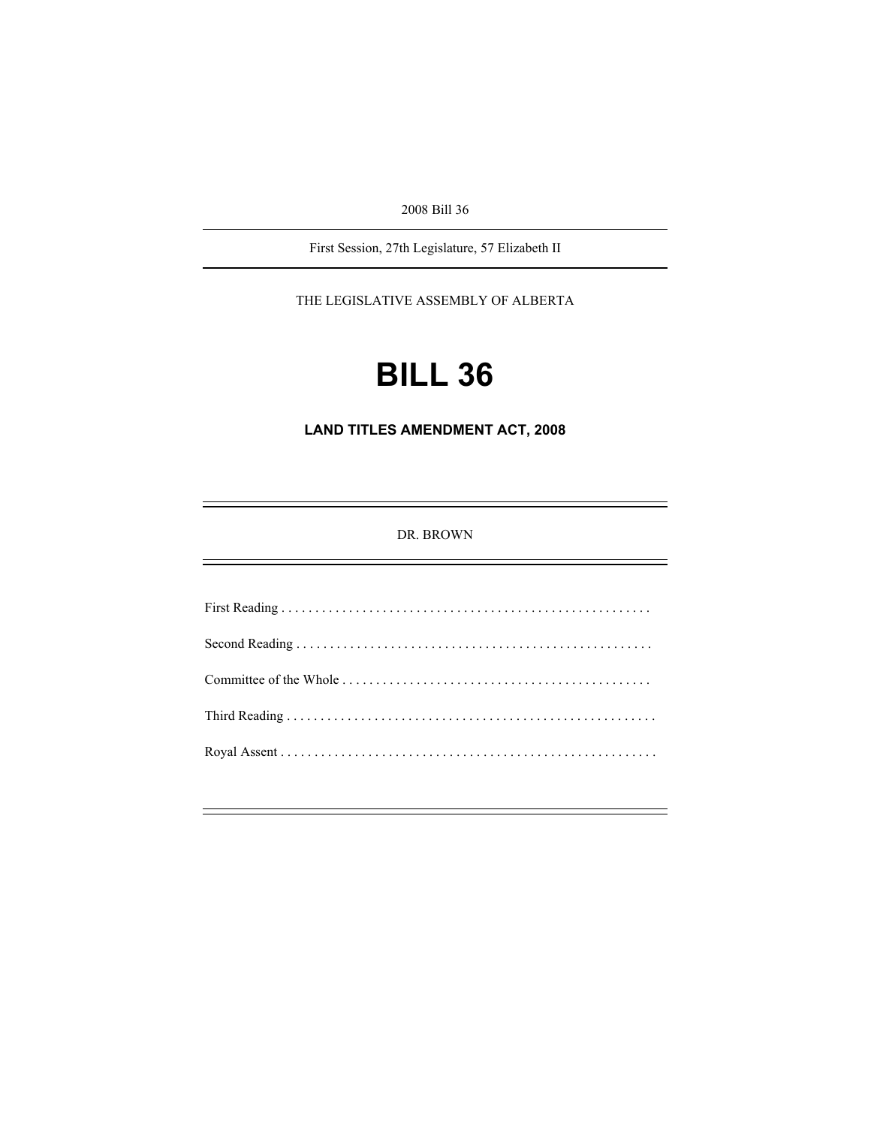2008 Bill 36

First Session, 27th Legislature, 57 Elizabeth II

THE LEGISLATIVE ASSEMBLY OF ALBERTA

# **BILL 36**

**LAND TITLES AMENDMENT ACT, 2008** 

DR. BROWN

First Reading . . . . . . . . . . . . . . . . . . . . . . . . . . . . . . . . . . . . . . . . . . . . . . . . . . . . . . . Second Reading . . . . . . . . . . . . . . . . . . . . . . . . . . . . . . . . . . . . . . . . . . . . . . . . . . . . . Committee of the Whole . . . . . . . . . . . . . . . . . . . . . . . . . . . . . . . . . . . . . . . . . . . . . . Third Reading . . . . . . . . . . . . . . . . . . . . . . . . . . . . . . . . . . . . . . . . . . . . . . . . . . . . . . . Royal Assent . . . . . . . . . . . . . . . . . . . . . . . . . . . . . . . . . . . . . . . . . . . . . . . . . . . . . . . .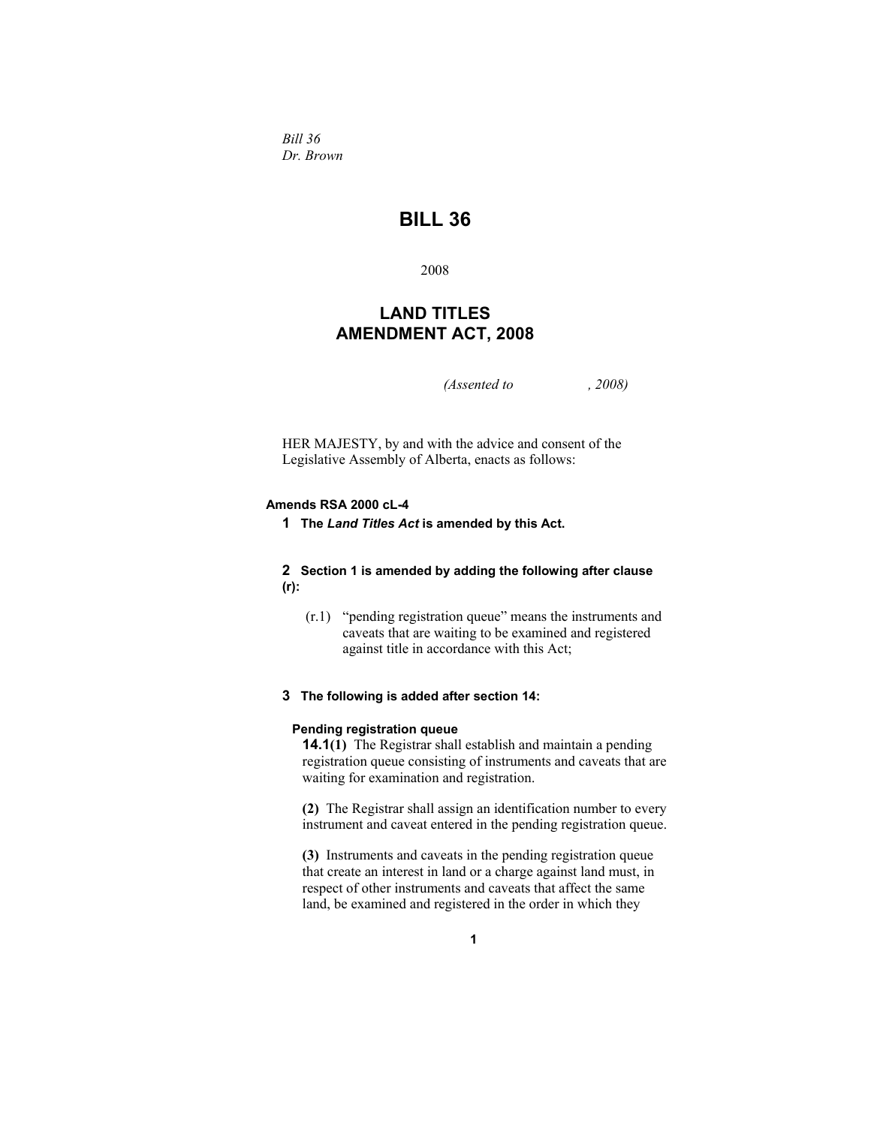*Bill 36 Dr. Brown* 

# **BILL 36**

2008

# **LAND TITLES AMENDMENT ACT, 2008**

*(Assented to , 2008)* 

HER MAJESTY, by and with the advice and consent of the Legislative Assembly of Alberta, enacts as follows:

## **Amends RSA 2000 cL-4**

**1 The** *Land Titles Act* **is amended by this Act.** 

## **2 Section 1 is amended by adding the following after clause (r):**

 (r.1) "pending registration queue" means the instruments and caveats that are waiting to be examined and registered against title in accordance with this Act;

# **3 The following is added after section 14:**

#### **Pending registration queue**

**14.1(1)** The Registrar shall establish and maintain a pending registration queue consisting of instruments and caveats that are waiting for examination and registration.

**(2)** The Registrar shall assign an identification number to every instrument and caveat entered in the pending registration queue.

**(3)** Instruments and caveats in the pending registration queue that create an interest in land or a charge against land must, in respect of other instruments and caveats that affect the same land, be examined and registered in the order in which they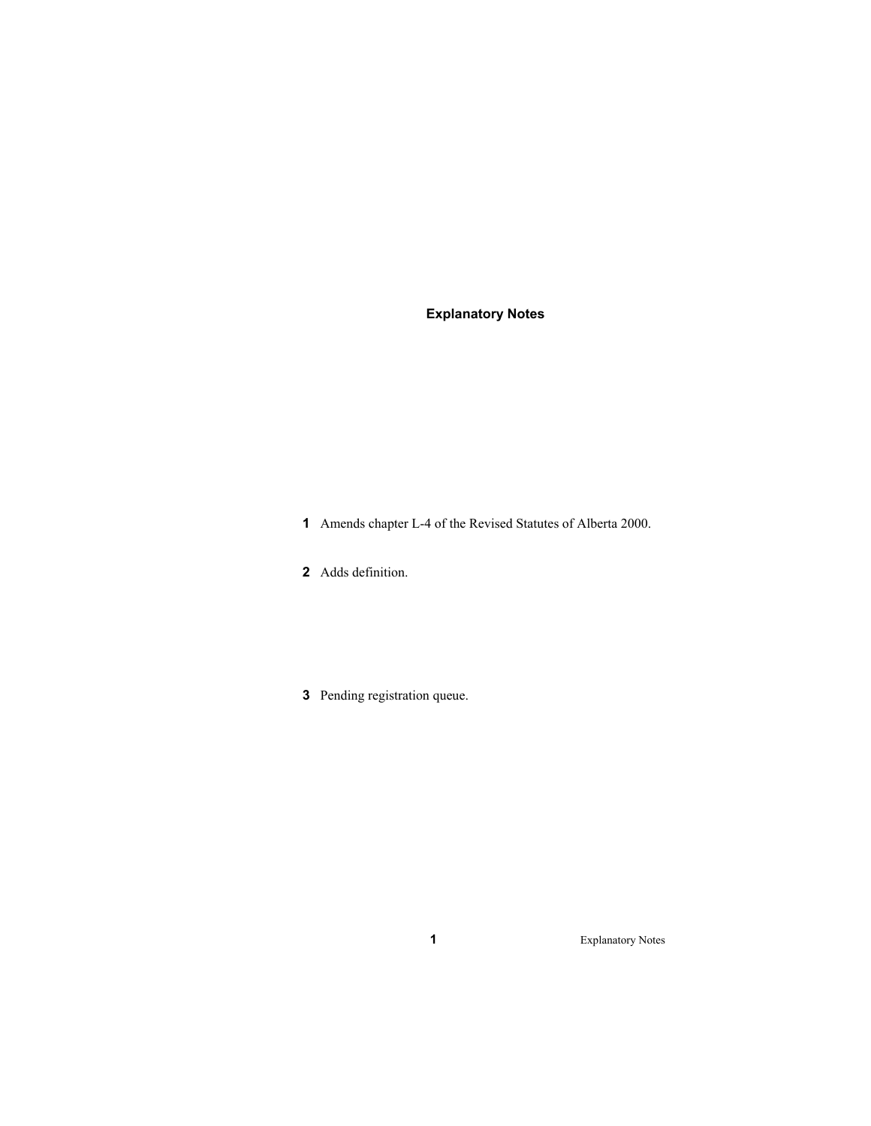# **Explanatory Notes**

- Amends chapter L-4 of the Revised Statutes of Alberta 2000.
- Adds definition.
- Pending registration queue.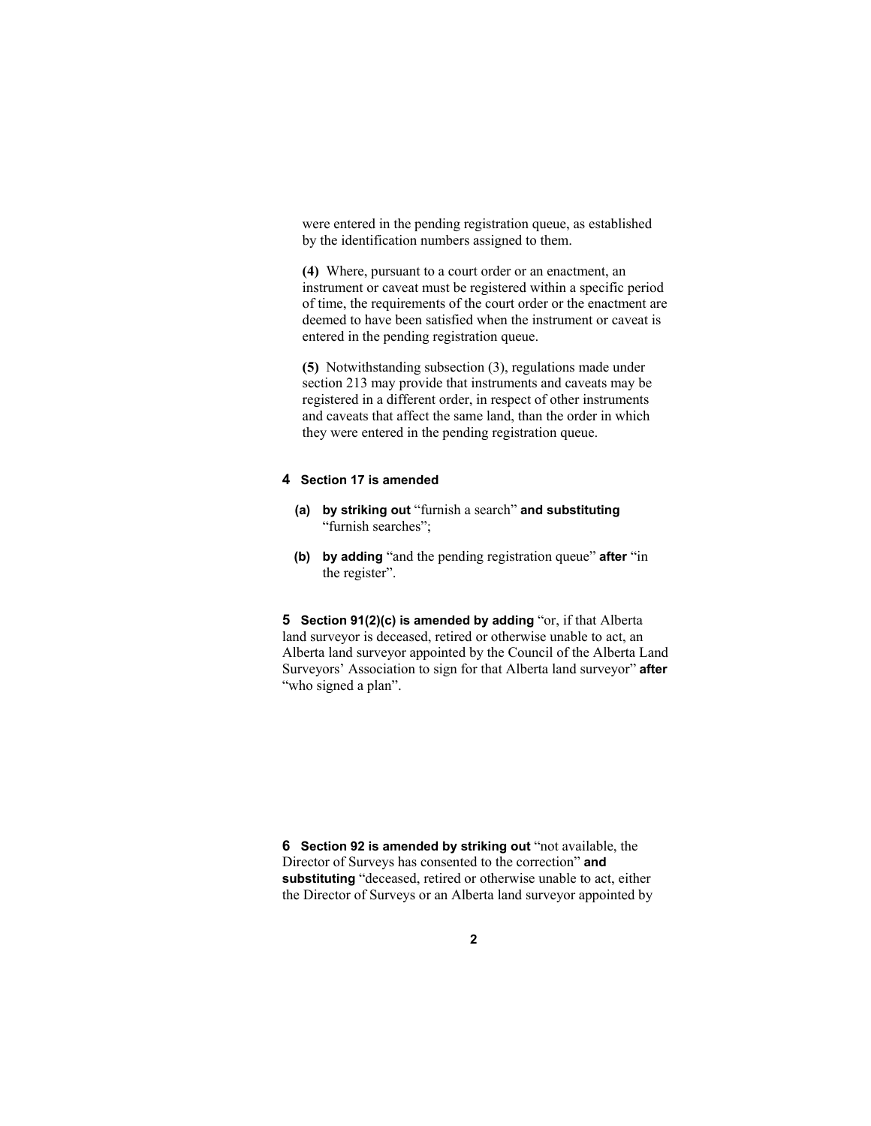were entered in the pending registration queue, as established by the identification numbers assigned to them.

**(4)** Where, pursuant to a court order or an enactment, an instrument or caveat must be registered within a specific period of time, the requirements of the court order or the enactment are deemed to have been satisfied when the instrument or caveat is entered in the pending registration queue.

**(5)** Notwithstanding subsection (3), regulations made under section 213 may provide that instruments and caveats may be registered in a different order, in respect of other instruments and caveats that affect the same land, than the order in which they were entered in the pending registration queue.

#### **4 Section 17 is amended**

- **(a) by striking out** "furnish a search" **and substituting**  "furnish searches";
- **(b) by adding** "and the pending registration queue" **after** "in the register".

**5 Section 91(2)(c) is amended by adding** "or, if that Alberta land surveyor is deceased, retired or otherwise unable to act, an Alberta land surveyor appointed by the Council of the Alberta Land Surveyors' Association to sign for that Alberta land surveyor" **after** "who signed a plan".

**6** Section 92 is amended by striking out "not available, the Director of Surveys has consented to the correction" **and substituting** "deceased, retired or otherwise unable to act, either the Director of Surveys or an Alberta land surveyor appointed by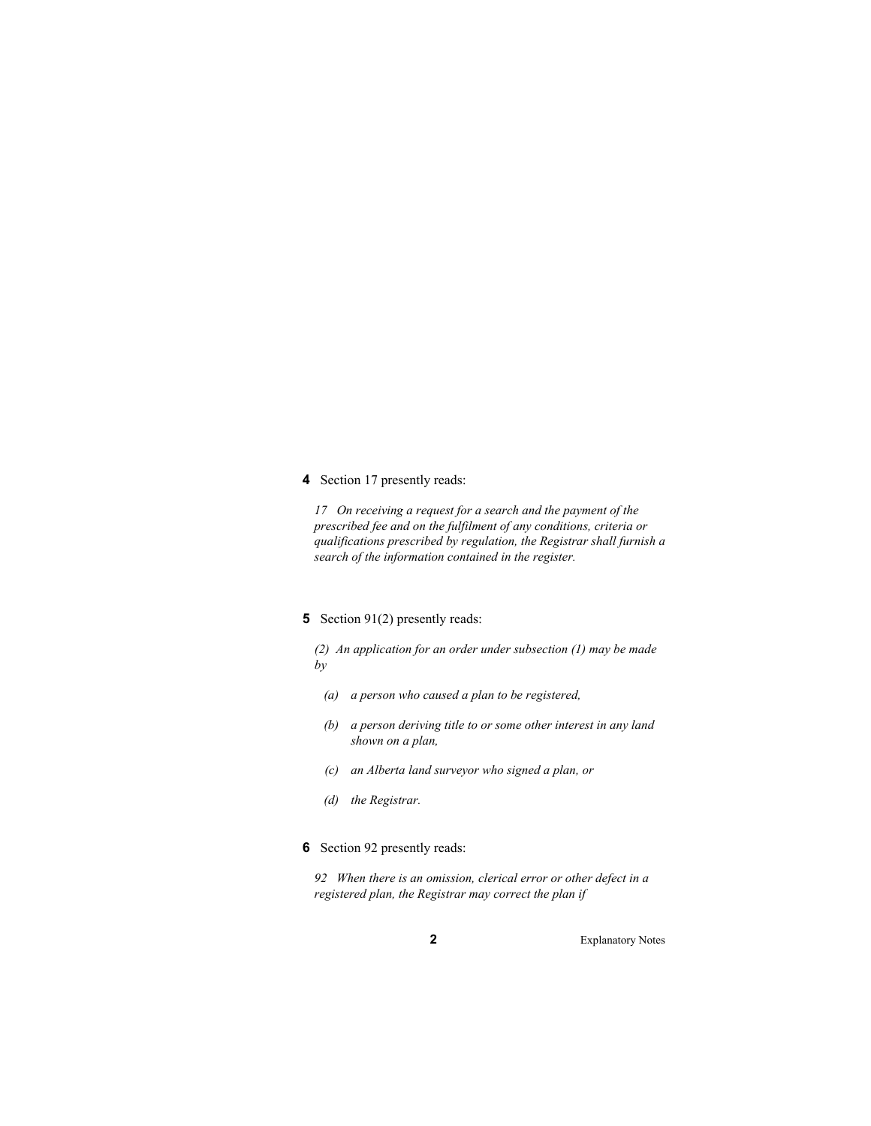#### **4** Section 17 presently reads:

*17 On receiving a request for a search and the payment of the prescribed fee and on the fulfilment of any conditions, criteria or qualifications prescribed by regulation, the Registrar shall furnish a search of the information contained in the register.* 

## **5** Section 91(2) presently reads:

*(2) An application for an order under subsection (1) may be made by* 

- *(a) a person who caused a plan to be registered,*
- *(b) a person deriving title to or some other interest in any land shown on a plan,*
- *(c) an Alberta land surveyor who signed a plan, or*
- *(d) the Registrar.*
- **6** Section 92 presently reads:

*92 When there is an omission, clerical error or other defect in a registered plan, the Registrar may correct the plan if*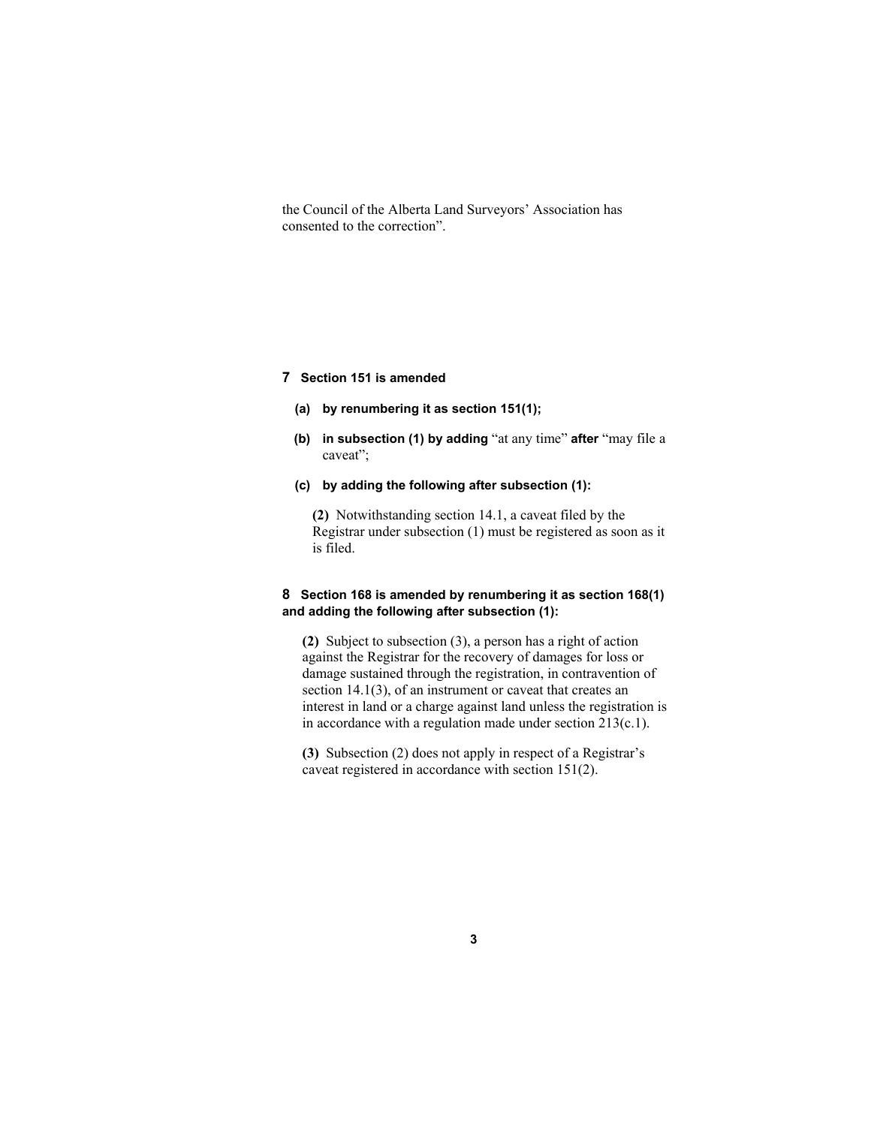the Council of the Alberta Land Surveyors' Association has consented to the correction".

#### **7 Section 151 is amended**

- **(a) by renumbering it as section 151(1);**
- **(b) in subsection (1) by adding** "at any time" **after** "may file a caveat";
- **(c) by adding the following after subsection (1):**

**(2)** Notwithstanding section 14.1, a caveat filed by the Registrar under subsection (1) must be registered as soon as it is filed.

## **8 Section 168 is amended by renumbering it as section 168(1) and adding the following after subsection (1):**

**(2)** Subject to subsection (3), a person has a right of action against the Registrar for the recovery of damages for loss or damage sustained through the registration, in contravention of section 14.1(3), of an instrument or caveat that creates an interest in land or a charge against land unless the registration is in accordance with a regulation made under section 213(c.1).

**(3)** Subsection (2) does not apply in respect of a Registrar's caveat registered in accordance with section 151(2).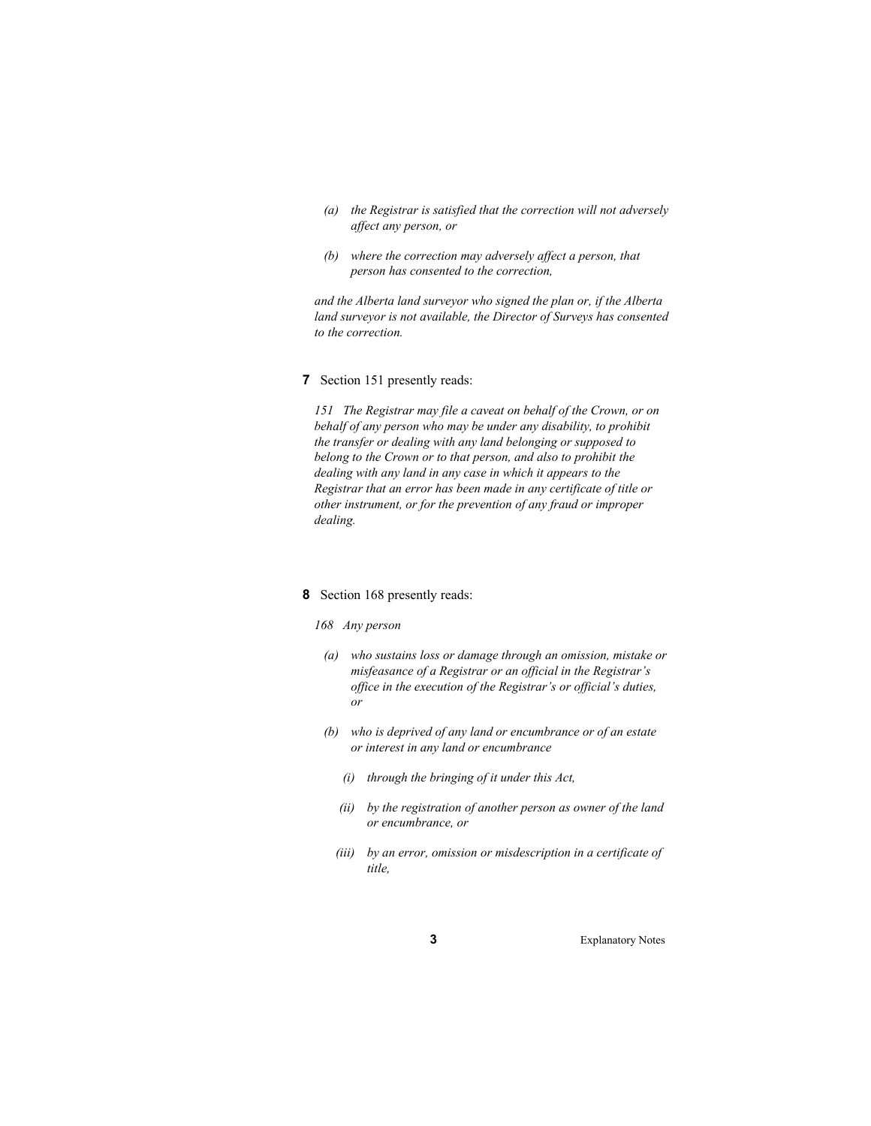- *(a) the Registrar is satisfied that the correction will not adversely affect any person, or*
- *(b) where the correction may adversely affect a person, that person has consented to the correction,*

*and the Alberta land surveyor who signed the plan or, if the Alberta land surveyor is not available, the Director of Surveys has consented to the correction.* 

**7** Section 151 presently reads:

*151 The Registrar may file a caveat on behalf of the Crown, or on behalf of any person who may be under any disability, to prohibit the transfer or dealing with any land belonging or supposed to belong to the Crown or to that person, and also to prohibit the dealing with any land in any case in which it appears to the Registrar that an error has been made in any certificate of title or other instrument, or for the prevention of any fraud or improper dealing.* 

#### **8** Section 168 presently reads:

#### *168 Any person*

- *(a) who sustains loss or damage through an omission, mistake or misfeasance of a Registrar or an official in the Registrar's office in the execution of the Registrar's or official's duties, or*
- *(b) who is deprived of any land or encumbrance or of an estate or interest in any land or encumbrance* 
	- *(i) through the bringing of it under this Act,*
	- *(ii) by the registration of another person as owner of the land or encumbrance, or*
	- *(iii) by an error, omission or misdescription in a certificate of title,*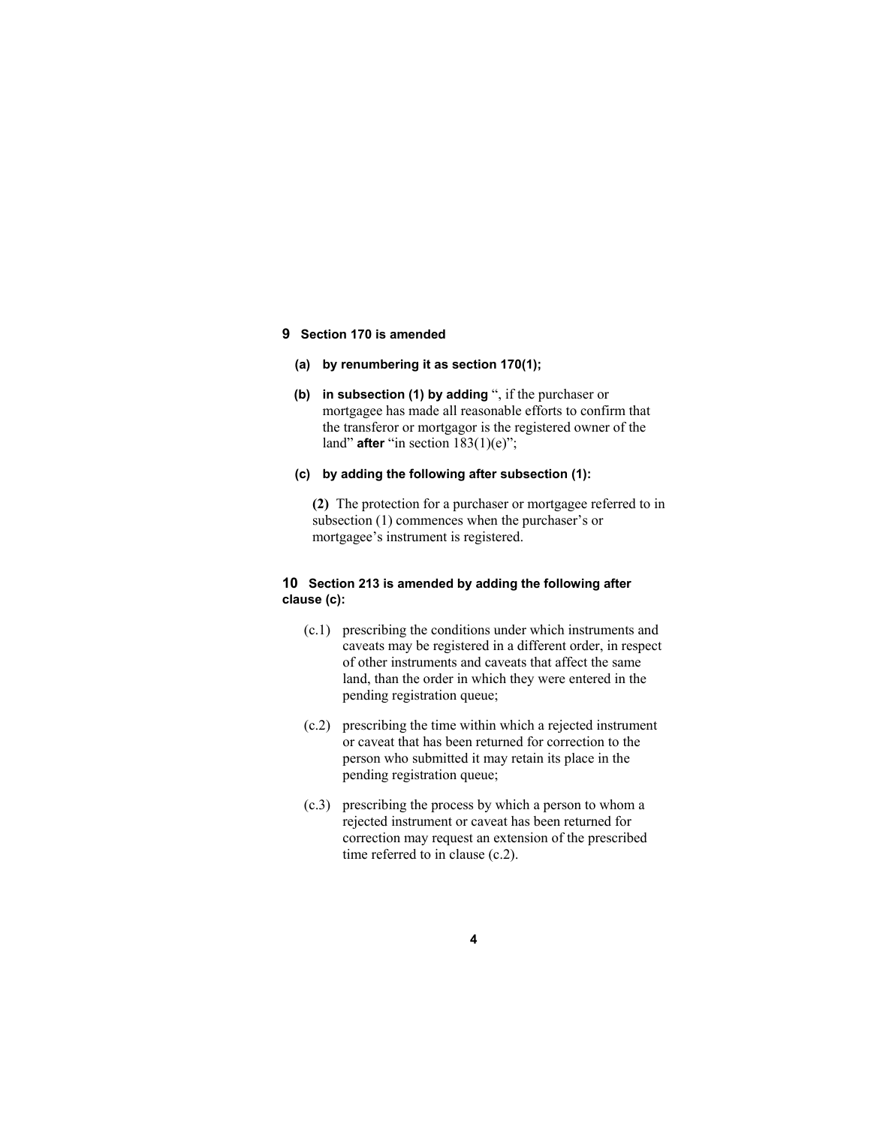#### **9 Section 170 is amended**

- **(a) by renumbering it as section 170(1);**
- **(b) in subsection (1) by adding** ", if the purchaser or mortgagee has made all reasonable efforts to confirm that the transferor or mortgagor is the registered owner of the land" **after** "in section  $183(1)(e)$ ";
- **(c) by adding the following after subsection (1):**

**(2)** The protection for a purchaser or mortgagee referred to in subsection (1) commences when the purchaser's or mortgagee's instrument is registered.

## **10 Section 213 is amended by adding the following after clause (c):**

- (c.1) prescribing the conditions under which instruments and caveats may be registered in a different order, in respect of other instruments and caveats that affect the same land, than the order in which they were entered in the pending registration queue;
- (c.2) prescribing the time within which a rejected instrument or caveat that has been returned for correction to the person who submitted it may retain its place in the pending registration queue;
- (c.3) prescribing the process by which a person to whom a rejected instrument or caveat has been returned for correction may request an extension of the prescribed time referred to in clause (c.2).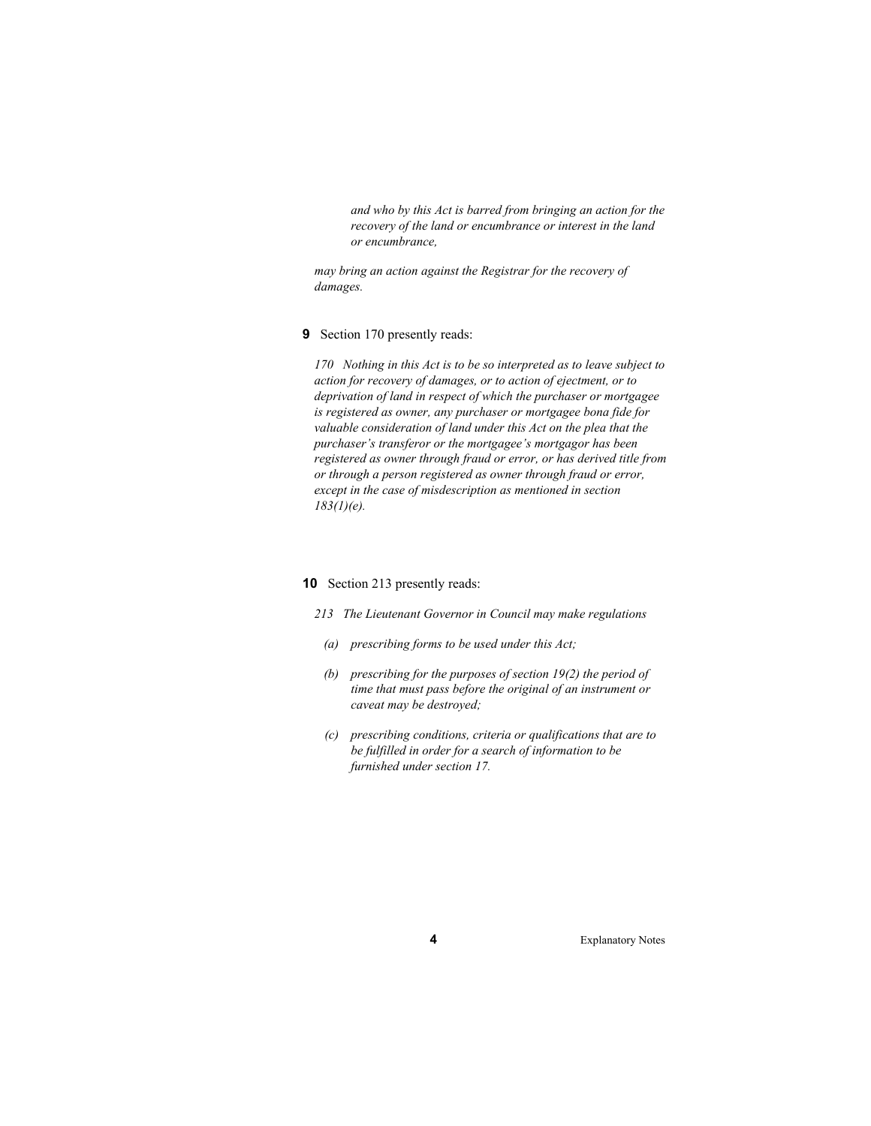*and who by this Act is barred from bringing an action for the recovery of the land or encumbrance or interest in the land or encumbrance,* 

*may bring an action against the Registrar for the recovery of damages.* 

#### **9** Section 170 presently reads:

*170 Nothing in this Act is to be so interpreted as to leave subject to action for recovery of damages, or to action of ejectment, or to deprivation of land in respect of which the purchaser or mortgagee is registered as owner, any purchaser or mortgagee bona fide for valuable consideration of land under this Act on the plea that the purchaser's transferor or the mortgagee's mortgagor has been registered as owner through fraud or error, or has derived title from or through a person registered as owner through fraud or error, except in the case of misdescription as mentioned in section 183(1)(e).* 

#### **10** Section 213 presently reads:

- *213 The Lieutenant Governor in Council may make regulations* 
	- *(a) prescribing forms to be used under this Act;*
	- *(b) prescribing for the purposes of section 19(2) the period of time that must pass before the original of an instrument or caveat may be destroyed;*
	- *(c) prescribing conditions, criteria or qualifications that are to be fulfilled in order for a search of information to be furnished under section 17.*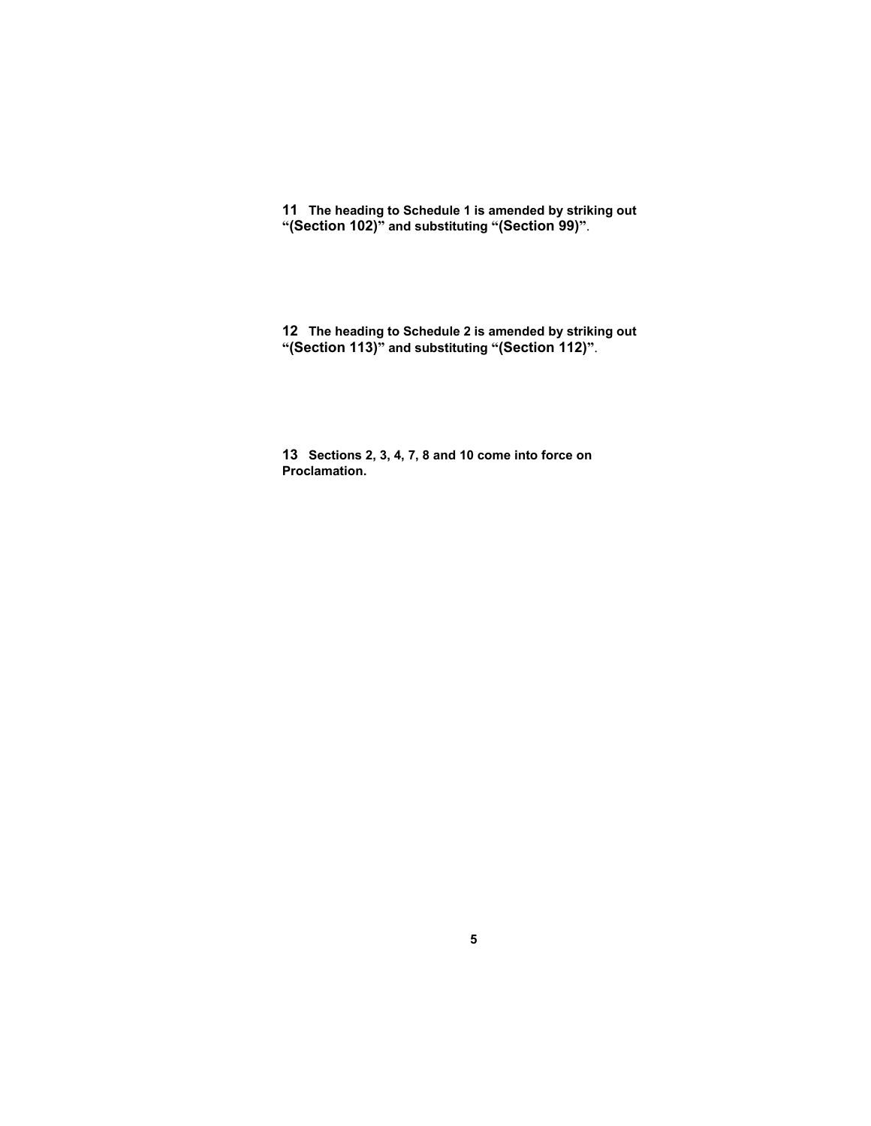**11 The heading to Schedule 1 is amended by striking out "(Section 102)" and substituting "(Section 99)"**.

**12 The heading to Schedule 2 is amended by striking out "(Section 113)" and substituting "(Section 112)"**.

**13 Sections 2, 3, 4, 7, 8 and 10 come into force on Proclamation.**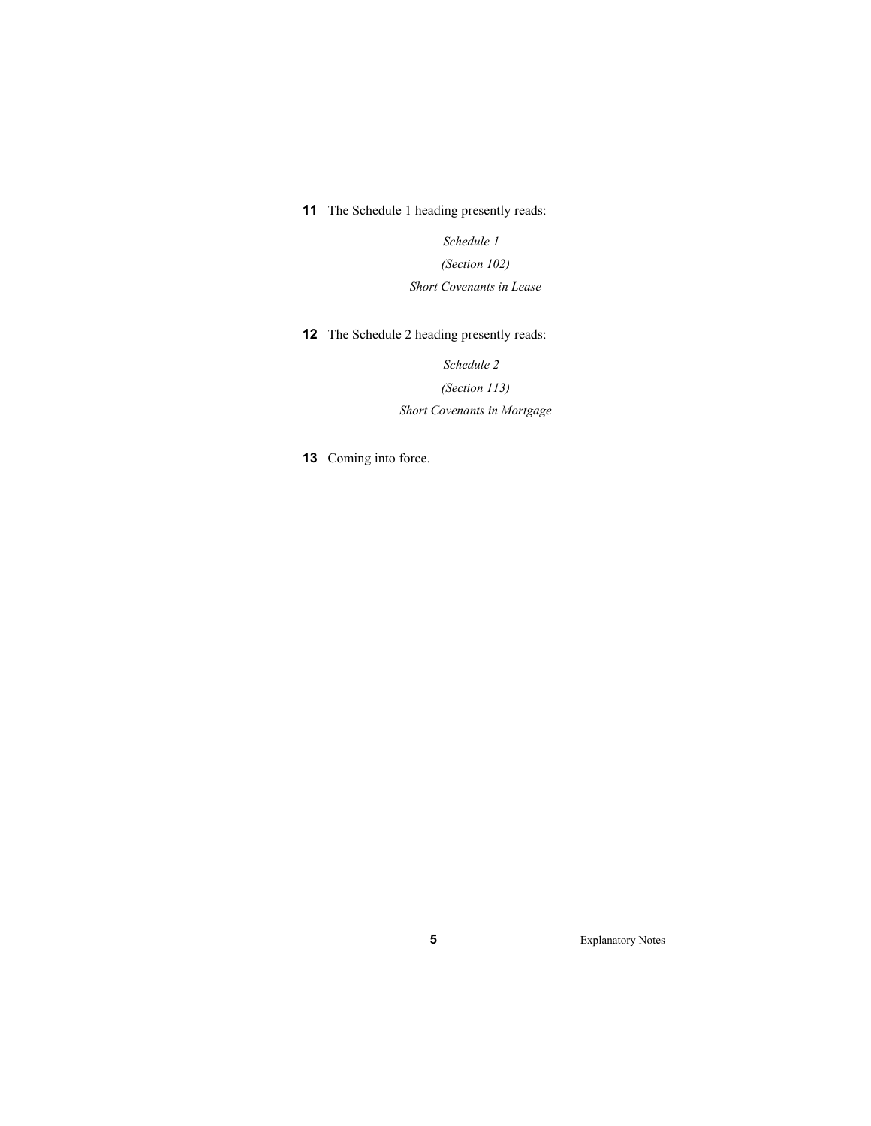**11** The Schedule 1 heading presently reads:

*Schedule 1 (Section 102) Short Covenants in Lease* 

**12** The Schedule 2 heading presently reads:

*Schedule 2* 

*(Section 113) Short Covenants in Mortgage* 

**13** Coming into force.